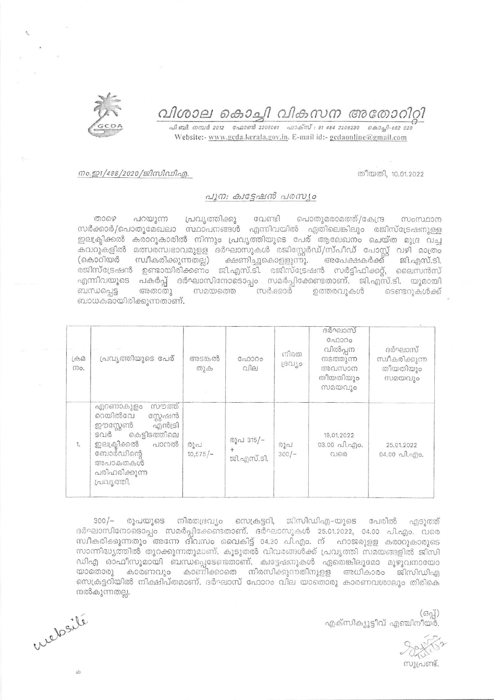

. வி. வி. எஸ். 8 2012 – வேலன ஜீ 2205061 – வி. கிஸ் ஜா 484 2206230 – கெ 3 வி - 682 020 Website:- www.gcda.kerala.gov.in. E-mail id:- gcdaonline@gmail.com

## നം.ഇ1/488/2020/ജിസിഡിഎ.

## തീയതി, 10.01.2022

## പുന: ക്വട്ടേഷൻ പരസ്യം

താഴെ പറയുന്ന പ്രവൃത്തിക്കു വേണ്ടി പൊതുമരാമത്ത്/കേന്ദ്ര സംസ്ഥാന<br>സർക്കാർ/പൊതുമേഖലാ സ്ഥാപനങ്ങൾ എന്നിവയിൽ ഏതിലെങ്കിലും രജിസ്ട്രേഷനുള്ള ഇലക്ട്രിക്കൽ കരാറുകാരിൽ നിന്നും പ്രവൃത്തിയുടെ പേര് ആലേഖനം ചെയ്ത മുദ്ര വച്ച (കൊറിയർ സ്ഥീകരിക്കുന്നതല്ല) ക്ഷണിച്ചുകൊളളുന്നു. അപേക്ഷകർക്ക് ജി.എസ്.ടി.<br>രജിസ്ട്രേഷൻ ഉണ്ടായിരിക്കണം ജി.എസ്.ടി. രജിസ്ട്രേഷൻ സർട്ടിഫിക്കറ്റ്, ലൈസൻസ്<br>എന്നിവയുടെ പകർപ്പ് ദർഘാസിനോടൊപ്പം സമർപ്പിക്കേണ്ടതാണ്. ജി.എസ്.ടി. യുമായി<br>സ്ഥ ബന്ധപ്പെട്ട അതാതു സമയത്തെ സർക്കാർ ഉത്തരവുകൾ ടെണ്ടറുകൾക്ക് ബാധകമായിരിക്കുന്നതാണ്.

| $(\bigoplus \varpi)$<br>mo. | പ്രവ്യത്തിയുടെ പേര്                                                                                                                                                     | അടങ്കൽ<br>തുക     | ഫോറം<br>വില             | നിരത<br>ദ്രഗ്നാ | ദർഘാസ്<br>ഫോറം<br>വിൽപ്പന -<br>നടത്തുന്ന<br>അവസാന<br>തീയതിയും<br>സമയവും | ദർഘാസ്<br>സ്വീകരിക്കുന്ന<br>തീയതിയും<br>സമയവും |
|-----------------------------|-------------------------------------------------------------------------------------------------------------------------------------------------------------------------|-------------------|-------------------------|-----------------|-------------------------------------------------------------------------|------------------------------------------------|
| 1.                          | സൗത്ത്<br>എറണാകൂളം<br>റെയിൽവേ<br>സ്റ്റേഷൻ<br>ഈസ്റ്റേൺ<br>എൻട്രി<br>കെട്ടിടത്തിലെ<br>ടവർ<br>ഇലക്ട്രിക്കൽ<br>പാനൽ<br>ബോർഡിന്റെ<br>അപാകതകൾ<br>പരിഹരിക്കുന്ന<br>പ്രവ്യത്തി. | രൂപ<br>$10,575/-$ | രൂപ 315/-<br>ஜி.എസ്.ടി. | രൂപ<br>$300/-$  | 19.01.2022<br>$03.00$ all.ago.<br>വരെ                                   | 25.01.2022<br>04.00 പി.എo.                     |

300/– രൂപയുടെ നിരതദ്രവ്യം സെക്രട്ടറി, ജിസിഡിഎ–യുടെ പേരിൽ എടുത്ത് ദർഘാസിനോടൊപ്പം സമർപ്പിക്കേണ്ടതാണ്. ദർഘാസുകൾ 25.01.2022, 04.00 പി.എം. വരെ സ്ഥീകരിക്കുന്നതും അന്നേ ദിവസം വൈകിട്ട് 04.30 പി.എം. ന് ഹാജരുളള കരാറുകാരുടെ സാന്നിദ്ധ്യത്തിൽ തുറക്കുന്നതുമാണ്. കൂടുതൽ വിവരങ്ങൾക്ക് പ്രവൃത്തി സമയങ്ങളിൽ ജിസി ഡിഎ ഓഫീസുമായി ബന്ധപ്പെടേണ്ടതാണ്. ക്വട്ടേഷനുകൾ ഏതെങ്കിലുമോ മുഴുവനായോ യാതൊരു കാരണവും കാണിക്കാതെ നിരസിക്കുന്നതിനുളള അധികാരം ജിസിഡിഎ സെക്രട്ടറിയിൽ നിക്ഷിപ്തമാണ്. ദർഘാസ് ഫോറം വില യാതൊരു കാരണവശാലും തിരികെ നൽകുന്നതല്ല.

 $(\mathbb{B}^d)$ എക്സിക്യൂട്ടീവ് എഞ്ചിനീയർ.

സ്വക്ഷ്

website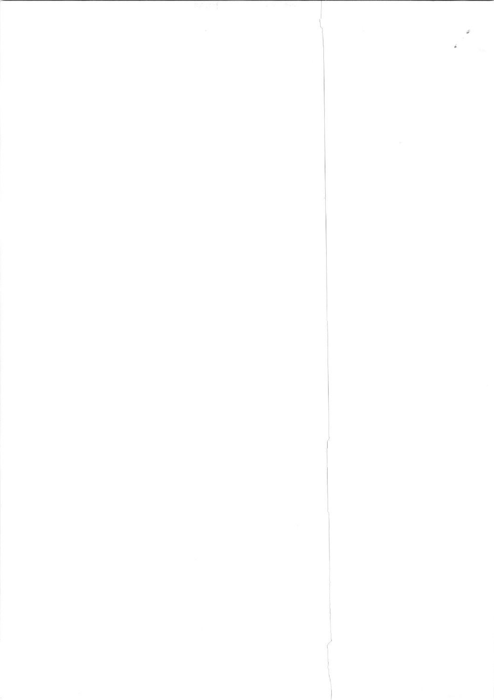